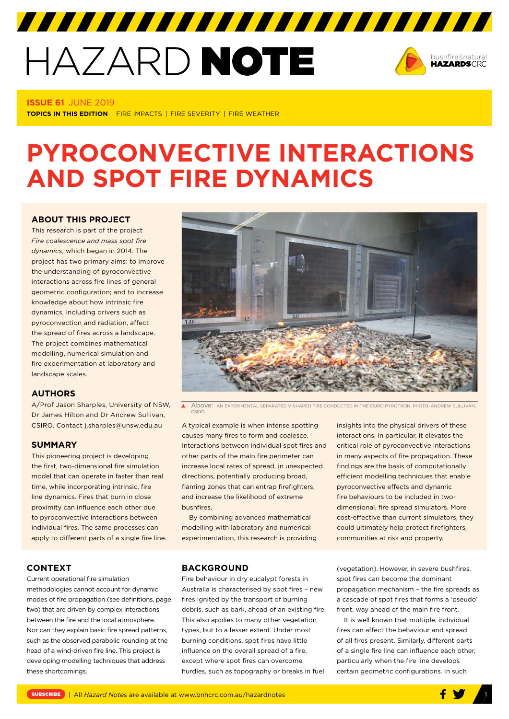# HAZARD NOTE



#### **ISSUE 61** JUNE 2019

**TOPICS IN THIS EDITION** | FIRE IMPACTS | FIRE SEVERITY | FIRE WEATHER

# **PYROCONVECTIVE INTERACTIONS AND SPOT FIRE DYNAMICS**

# **[ABOUT THIS PROJECT](http://www.bnhcrc.com.au/hazardnotes/59)**

This research is part of the project *Fire coalescence and mass spot fire dynamics*, which began in 2014. The project has two primary aims: to improve the understanding of pyroconvective interactions across fire lines of general geometric configuration; and to increase knowledge about how intrinsic fire dynamics, including drivers such as pyroconvection and radiation, affect the spread of fires across a landscape. The project combines mathematical modelling, numerical simulation and fire experimentation at laboratory and landscape scales.

#### **AUTHORS**

A/Prof Jason Sharples, University of NSW, Dr James Hilton and Dr Andrew Sullivan, CSIRO. Contact j.sharples@unsw.edu.au

#### **SUMMARY**

This pioneering project is developing the first, two-dimensional fire simulation model that can operate in faster than real time, while incorporating intrinsic, fire line dynamics. Fires that burn in close proximity can influence each other due to pyroconvective interactions between individual fires. The same processes can apply to different parts of a single fire line.

#### **CONTEXT**

Current operational fire simulation methodologies cannot account for dynamic modes of fire propagation (see definitions, page two) that are driven by complex interactions between the fire and the local atmosphere. Nor can they explain basic fire spread patterns, such as the observed parabolic rounding at the head of a wind-driven fire line. This project is developing modelling techniques that address these shortcomings.



A Above: AN EXPERIMENTAL SEPARATED V-SHAPED FIRE CONDUCTED IN THE CSIRO PYROTRON. PHOTO: ANDREW SULLIVAN, CSIRO

A typical example is when intense spotting causes many fires to form and coalesce. Interactions between individual spot fires and other parts of the main fire perimeter can increase local rates of spread, in unexpected directions, potentially producing broad, flaming zones that can entrap firefighters, and increase the likelihood of extreme bushfires.

By combining advanced mathematical modelling with laboratory and numerical experimentation, this research is providing

# **BACKGROUND**

Fire behaviour in dry eucalypt forests in Australia is characterised by spot fires – new fires ignited by the transport of burning debris, such as bark, ahead of an existing fire. This also applies to many other vegetation types, but to a lesser extent. Under most burning conditions, spot fires have little influence on the overall spread of a fire. except where spot fires can overcome hurdles, such as topography or breaks in fuel

insights into the physical drivers of these interactions. In particular, it elevates the critical role of pyroconvective interactions in many aspects of fire propagation. These findings are the basis of computationally efficient modelling techniques that enable pyroconvective effects and dynamic fire behaviours to be included in twodimensional, fire spread simulators. More cost-effective than current simulators, they could ultimately help protect firefighters, communities at risk and property.

(vegetation). However, in severe bushfires spot fires can become the dominant propagation mechanism – the fire spreads as a cascade of spot fires that forms a 'pseudo' front, way ahead of the main fire front.

It is well known that multiple, individual fires can affect the behaviour and spread of all fires present. Similarly, different parts of a single fire line can influence each other, particularly when the fire line develops certain geometric configurations. In such

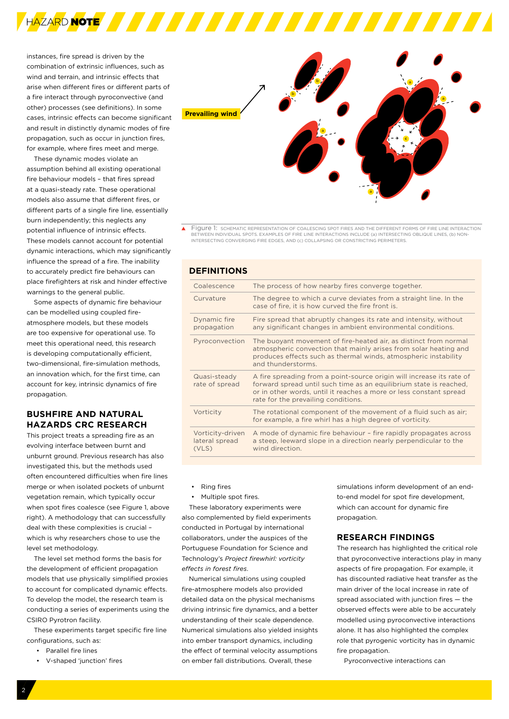

instances, fire spread is driven by the combination of extrinsic influences, such as wind and terrain, and intrinsic effects that arise when different fires or different parts of a fire interact through pyroconvective (and other) processes (see definitions). In some cases, intrinsic effects can become significant and result in distinctly dynamic modes of fire propagation, such as occur in junction fires, for example, where fires meet and merge.

These dynamic modes violate an assumption behind all existing operational fire behaviour models – that fires spread at a quasi-steady rate. These operational models also assume that different fires, or different parts of a single fire line, essentially burn independently; this neglects any potential influence of intrinsic effects. These models cannot account for potential dynamic interactions, which may significantly influence the spread of a fire. The inability to accurately predict fire behaviours can place firefighters at risk and hinder effective warnings to the general public.

Some aspects of dynamic fire behaviour can be modelled using coupled fireatmosphere models, but these models are too expensive for operational use. To meet this operational need, this research is developing computationally efficient, two-dimensional, fire-simulation methods, an innovation which, for the first time, can account for key, intrinsic dynamics of fire propagation.

# **BUSHFIRE AND NATURAL HAZARDS CRC RESEARCH**

This project treats a spreading fire as an evolving interface between burnt and unburnt ground. Previous research has also investigated this, but the methods used often encountered difficulties when fire lines merge or when isolated pockets of unburnt vegetation remain, which typically occur when spot fires coalesce (see Figure 1, above right). A methodology that can successfully deal with these complexities is crucial – which is why researchers chose to use the level set methodology.

The level set method forms the basis for the development of efficient propagation models that use physically simplified proxies to account for complicated dynamic effects. To develop the model, the research team is conducting a series of experiments using the CSIRO Pyrotron facility.

These experiments target specific fire line configurations, such as:

- Parallel fire lines
- V-shaped 'junction' fires



Figure 1: SCHEMATIC REPRESENTATION OF COALESCING SPOT FIRES AND THE DIFFERENT FORMS OF FIRE LINE INTERACTION BETWEEN INDIVIDUAL SPOTS. EXAMPLES OF FIRE LINE INTERACTIONS INCLUDE (a) INTERSECTING OBLIQUE LINES, (b) NON-<br>INTERSECTING CONVERGING FIRE EDGES, AND (c) COLLAPSING OR CONSTRICTING PERIMETERS.

#### **DEFINITIONS**

| Coalescence                                 | The process of how nearby fires converge together.                                                                                                                                                                                                       |
|---------------------------------------------|----------------------------------------------------------------------------------------------------------------------------------------------------------------------------------------------------------------------------------------------------------|
| Curvature                                   | The degree to which a curve deviates from a straight line. In the<br>case of fire, it is how curved the fire front is.                                                                                                                                   |
| Dynamic fire<br>propagation                 | Fire spread that abruptly changes its rate and intensity, without<br>any significant changes in ambient environmental conditions.                                                                                                                        |
| Pyroconvection                              | The buoyant movement of fire-heated air, as distinct from normal<br>atmospheric convection that mainly arises from solar heating and<br>produces effects such as thermal winds, atmospheric instability<br>and thunderstorms.                            |
| Quasi-steady<br>rate of spread              | A fire spreading from a point-source origin will increase its rate of<br>forward spread until such time as an equilibrium state is reached.<br>or in other words, until it reaches a more or less constant spread<br>rate for the prevailing conditions. |
| Vorticity                                   | The rotational component of the movement of a fluid such as air;<br>for example, a fire whirl has a high degree of vorticity.                                                                                                                            |
| Vorticity-driven<br>lateral spread<br>(VLS) | A mode of dynamic fire behaviour - fire rapidly propagates across<br>a steep, leeward slope in a direction nearly perpendicular to the<br>wind direction.                                                                                                |
|                                             |                                                                                                                                                                                                                                                          |

- Ring fires
- Multiple spot fires.

These laboratory experiments were also complemented by field experiments conducted in Portugal by international collaborators, under the auspices of the Portuguese Foundation for Science and Technology's *Project firewhirl: vorticity effects in forest fires*.

Numerical simulations using coupled fire-atmosphere models also provided detailed data on the physical mechanisms driving intrinsic fire dynamics, and a better understanding of their scale dependence. Numerical simulations also yielded insights into ember transport dynamics, including the effect of terminal velocity assumptions on ember fall distributions. Overall, these

simulations inform development of an endto-end model for spot fire development, which can account for dynamic fire propagation.

#### **RESEARCH FINDINGS**

The research has highlighted the critical role that pyroconvective interactions play in many aspects of fire propagation. For example, it has discounted radiative heat transfer as the main driver of the local increase in rate of spread associated with junction fires — the observed effects were able to be accurately modelled using pyroconvective interactions alone. It has also highlighted the complex role that pyrogenic vorticity has in dynamic fire propagation.

Pyroconvective interactions can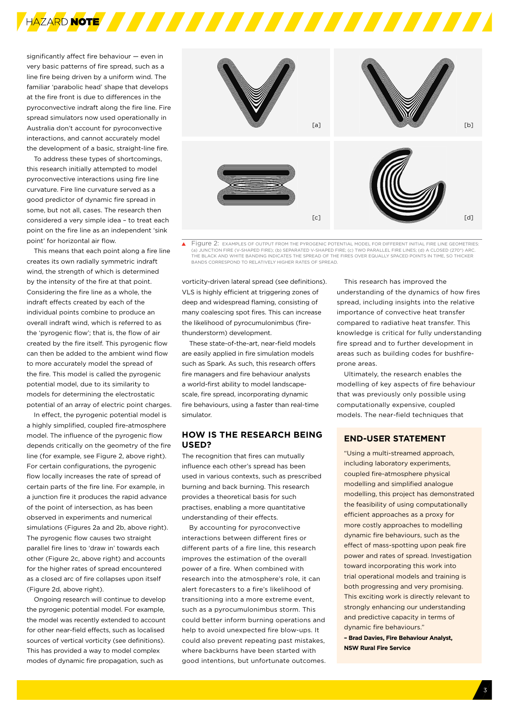

significantly affect fire behaviour — even in very basic patterns of fire spread, such as a line fire being driven by a uniform wind. The familiar 'parabolic head' shape that develops at the fire front is due to differences in the pyroconvective indraft along the fire line. Fire spread simulators now used operationally in Australia don't account for pyroconvective interactions, and cannot accurately model the development of a basic, straight-line fire.

To address these types of shortcomings, this research initially attempted to model pyroconvective interactions using fire line curvature. Fire line curvature served as a good predictor of dynamic fire spread in some, but not all, cases. The research then considered a very simple idea – to treat each point on the fire line as an independent 'sink point' for horizontal air flow.

This means that each point along a fire line creates its own radially symmetric indraft wind, the strength of which is determined by the intensity of the fire at that point. Considering the fire line as a whole, the indraft effects created by each of the individual points combine to produce an overall indraft wind, which is referred to as the 'pyrogenic flow'; that is, the flow of air created by the fire itself. This pyrogenic flow can then be added to the ambient wind flow to more accurately model the spread of the fire. This model is called the pyrogenic potential model, due to its similarity to models for determining the electrostatic potential of an array of electric point charges.

In effect, the pyrogenic potential model is a highly simplified, coupled fire-atmosphere model. The influence of the pyrogenic flow depends critically on the geometry of the fire line (for example, see Figure 2, above right). For certain configurations, the pyrogenic flow locally increases the rate of spread of certain parts of the fire line. For example, in a junction fire it produces the rapid advance of the point of intersection, as has been observed in experiments and numerical simulations (Figures 2a and 2b, above right). The pyrogenic flow causes two straight parallel fire lines to 'draw in' towards each other (Figure 2c, above right) and accounts for the higher rates of spread encountered as a closed arc of fire collapses upon itself (Figure 2d, above right).

Ongoing research will continue to develop the pyrogenic potential model. For example, the model was recently extended to account for other near-field effects, such as localised sources of vertical vorticity (see definitions). This has provided a way to model complex modes of dynamic fire propagation, such as



FI<mark>gure 2:</mark> examples of output from the pyrogenic potential model for different initial fire line geometries:<br>(a) JUNCTION FIRE (V-SHAPED FIRE); (b) SEPARATED V-SHAPED FIRE; (c) TWO PARALLEL FIRE LINES; (d) A CLOSED (270°) THE BLACK AND WHITE BANDING INDICATES THE SPREAD OF THE FIRES OVER EQUALLY SPACED POINTS IN TIME, SO THICKER BANDS CORRESPOND TO RELATIVELY HIGHER RATES OF SPREAD.

vorticity-driven lateral spread (see definitions). VLS is highly efficient at triggering zones of deep and widespread flaming, consisting of many coalescing spot fires. This can increase the likelihood of pyrocumulonimbus (firethunderstorm) development.

These state-of-the-art, near-field models are easily applied in fire simulation models such as Spark. As such, this research offers fire managers and fire behaviour analysts a world-first ability to model landscapescale, fire spread, incorporating dynamic fire behaviours, using a faster than real-time simulator.

# **HOW IS THE RESEARCH BEING USED?**

The recognition that fires can mutually influence each other's spread has been used in various contexts, such as prescribed burning and back burning. This research provides a theoretical basis for such practises, enabling a more quantitative understanding of their effects.

By accounting for pyroconvective interactions between different fires or different parts of a fire line, this research improves the estimation of the overall power of a fire. When combined with research into the atmosphere's role, it can alert forecasters to a fire's likelihood of transitioning into a more extreme event, such as a pyrocumulonimbus storm. This could better inform burning operations and help to avoid unexpected fire blow-ups. It could also prevent repeating past mistakes, where backburns have been started with good intentions, but unfortunate outcomes.

This research has improved the understanding of the dynamics of how fires spread, including insights into the relative importance of convective heat transfer compared to radiative heat transfer. This knowledge is critical for fully understanding fire spread and to further development in areas such as building codes for bushfireprone areas.

Ultimately, the research enables the modelling of key aspects of fire behaviour that was previously only possible using computationally expensive, coupled models. The near-field techniques that

# **END-USER STATEMENT**

"Using a multi-streamed approach, including laboratory experiments, coupled fire-atmosphere physical modelling and simplified analogue modelling, this project has demonstrated the feasibility of using computationally efficient approaches as a proxy for more costly approaches to modelling dynamic fire behaviours, such as the effect of mass-spotting upon peak fire power and rates of spread. Investigation toward incorporating this work into trial operational models and training is both progressing and very promising. This exciting work is directly relevant to strongly enhancing our understanding and predictive capacity in terms of dynamic fire behaviours."

**– Brad Davies, Fire Behaviour Analyst, NSW Rural Fire Service**